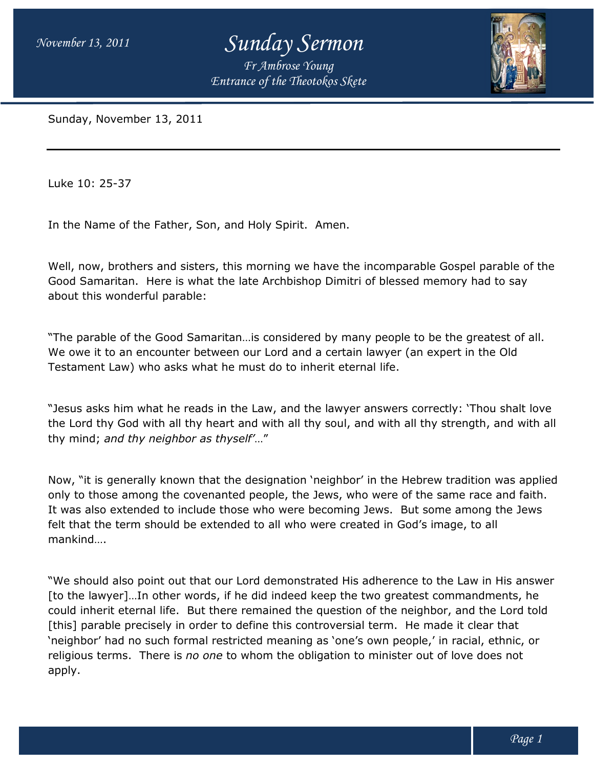*November 13, 2011* 

## *Sunday Sermon*

*Entrance of the Theotokos Skete Fr Ambrose Young*



Sunday, November 13, 2011

Luke 10: 25-37

In the Name of the Father, Son, and Holy Spirit. Amen.

Well, now, brothers and sisters, this morning we have the incomparable Gospel parable of the Good Samaritan. Here is what the late Archbishop Dimitri of blessed memory had to say about this wonderful parable: of the Father, Son, and Holy Spirit. Amen.<br>
others and sisters, this morning we have the incomparable Gospel parable o<br>
tan. Here is what the late Archbishop Dimitri of blessed memory had to say<br>
nderful parable:<br>
of the G

"The parable of the Good Samaritan…is considered by many people to be the greatest of all. We owe it to an encounter between our Lord and a certain lawyer (an expert in the Old Testament Law) who asks what he must do to inherit eternal life.

"Jesus asks him what he reads in the Law, and the lawyer answers correctly: 'Thou shalt love Testament Law) who asks what he must do to inherit eternal life.<br>"Jesus asks him what he reads in the Law, and the lawyer answers correctly: `Thou shalt love<br>the Lord thy God with all thy heart and with all thy soul, and w thy mind; *and thy neighbor as thyself' neighbor* …"

Now, "it is generally known that the designation 'neighbor' in the Hebrew tradition was applied only to those among the covenanted people, the Jews, who were of the same race and faith. It was also extended to include those who were becoming Jews. But some among the Jews felt that the term should be extended to all who were created in God's image, to all mankind…. Now, "it is generally known that the designation 'neighbor' in the Hebrew tradition was applied<br>only to those among the covenanted people, the Jews, who were of the same race and faith.<br>It was also extended to include thos

"We should also point out that our Lord demonstrated His adherence to the Law in His answer [to the lawyer]…In other words, if he did indeed keep the two greatest commandments, he could inherit eternal life. But there remained the question of the neighbor, and the Lord told [this] parable precisely in order to define this controversial term. He made it clear that 'neighbor' had no such formal restricted meaning as 'one's own people,' in racial, ethnic, or religious terms. There is *no one* to whom the obligation to minister out of love does not apply. *fantrance of the Theotokos Skete*<br> **s**, this morning we have the incc<br>
the late Archbishop Dimitri of t<br>
aritan...is considered by many p<br>
ween our Lord and a certain law<br>
at he must do to inherit eternal I<br>
s in the Law, [to the lawyer]...In other words, if he did indeed keep the two greatest commandments,<br>could inherit eternal life. But there remained the question of the neighbor, and the Lord<br>[this] parable precisely in order to define t and with all thy soul, and with all thy strength, and w<br>elf"..."<br>designation `neighbor' in the Hebrew tradition was a<br>d people, the Jews, who were of the same race and fa<br>se who were becoming Jews. But some among the Je<br>ad